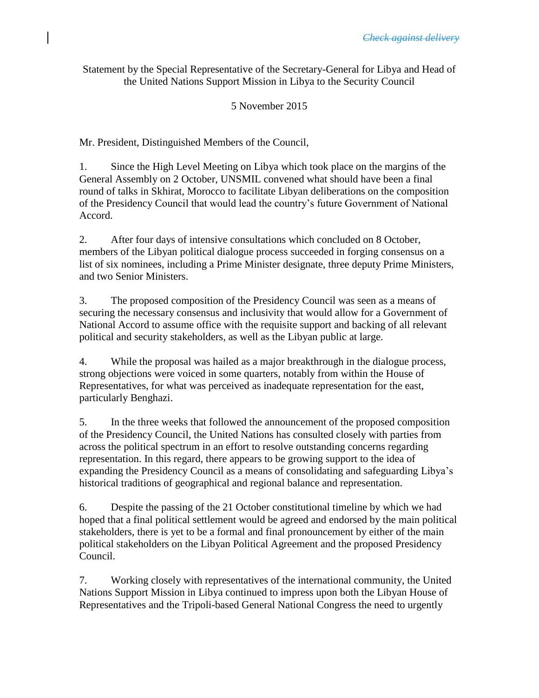Statement by the Special Representative of the Secretary-General for Libya and Head of the United Nations Support Mission in Libya to the Security Council

5 November 2015

Mr. President, Distinguished Members of the Council,

1. Since the High Level Meeting on Libya which took place on the margins of the General Assembly on 2 October, UNSMIL convened what should have been a final round of talks in Skhirat, Morocco to facilitate Libyan deliberations on the composition of the Presidency Council that would lead the country's future Government of National Accord.

2. After four days of intensive consultations which concluded on 8 October, members of the Libyan political dialogue process succeeded in forging consensus on a list of six nominees, including a Prime Minister designate, three deputy Prime Ministers, and two Senior Ministers.

3. The proposed composition of the Presidency Council was seen as a means of securing the necessary consensus and inclusivity that would allow for a Government of National Accord to assume office with the requisite support and backing of all relevant political and security stakeholders, as well as the Libyan public at large.

4. While the proposal was hailed as a major breakthrough in the dialogue process, strong objections were voiced in some quarters, notably from within the House of Representatives, for what was perceived as inadequate representation for the east, particularly Benghazi.

5. In the three weeks that followed the announcement of the proposed composition of the Presidency Council, the United Nations has consulted closely with parties from across the political spectrum in an effort to resolve outstanding concerns regarding representation. In this regard, there appears to be growing support to the idea of expanding the Presidency Council as a means of consolidating and safeguarding Libya's historical traditions of geographical and regional balance and representation.

6. Despite the passing of the 21 October constitutional timeline by which we had hoped that a final political settlement would be agreed and endorsed by the main political stakeholders, there is yet to be a formal and final pronouncement by either of the main political stakeholders on the Libyan Political Agreement and the proposed Presidency Council.

7. Working closely with representatives of the international community, the United Nations Support Mission in Libya continued to impress upon both the Libyan House of Representatives and the Tripoli-based General National Congress the need to urgently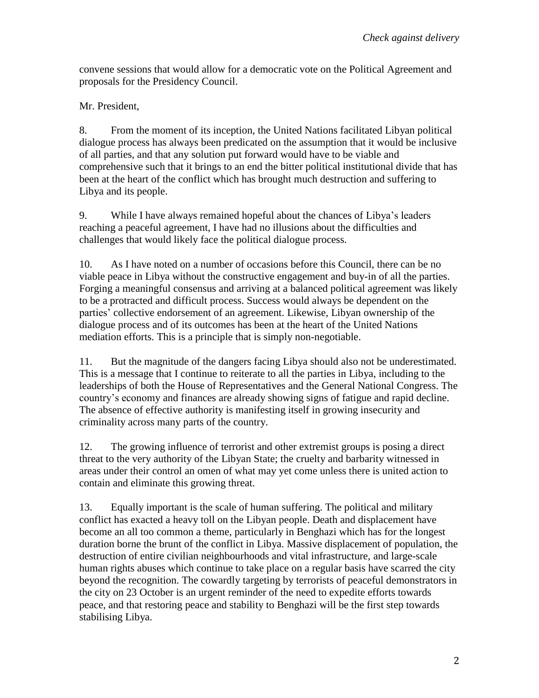convene sessions that would allow for a democratic vote on the Political Agreement and proposals for the Presidency Council.

Mr. President,

8. From the moment of its inception, the United Nations facilitated Libyan political dialogue process has always been predicated on the assumption that it would be inclusive of all parties, and that any solution put forward would have to be viable and comprehensive such that it brings to an end the bitter political institutional divide that has been at the heart of the conflict which has brought much destruction and suffering to Libya and its people.

9. While I have always remained hopeful about the chances of Libya's leaders reaching a peaceful agreement, I have had no illusions about the difficulties and challenges that would likely face the political dialogue process.

10. As I have noted on a number of occasions before this Council, there can be no viable peace in Libya without the constructive engagement and buy-in of all the parties. Forging a meaningful consensus and arriving at a balanced political agreement was likely to be a protracted and difficult process. Success would always be dependent on the parties' collective endorsement of an agreement. Likewise, Libyan ownership of the dialogue process and of its outcomes has been at the heart of the United Nations mediation efforts. This is a principle that is simply non-negotiable.

11. But the magnitude of the dangers facing Libya should also not be underestimated. This is a message that I continue to reiterate to all the parties in Libya, including to the leaderships of both the House of Representatives and the General National Congress. The country's economy and finances are already showing signs of fatigue and rapid decline. The absence of effective authority is manifesting itself in growing insecurity and criminality across many parts of the country.

12. The growing influence of terrorist and other extremist groups is posing a direct threat to the very authority of the Libyan State; the cruelty and barbarity witnessed in areas under their control an omen of what may yet come unless there is united action to contain and eliminate this growing threat.

13. Equally important is the scale of human suffering. The political and military conflict has exacted a heavy toll on the Libyan people. Death and displacement have become an all too common a theme, particularly in Benghazi which has for the longest duration borne the brunt of the conflict in Libya. Massive displacement of population, the destruction of entire civilian neighbourhoods and vital infrastructure, and large-scale human rights abuses which continue to take place on a regular basis have scarred the city beyond the recognition. The cowardly targeting by terrorists of peaceful demonstrators in the city on 23 October is an urgent reminder of the need to expedite efforts towards peace, and that restoring peace and stability to Benghazi will be the first step towards stabilising Libya.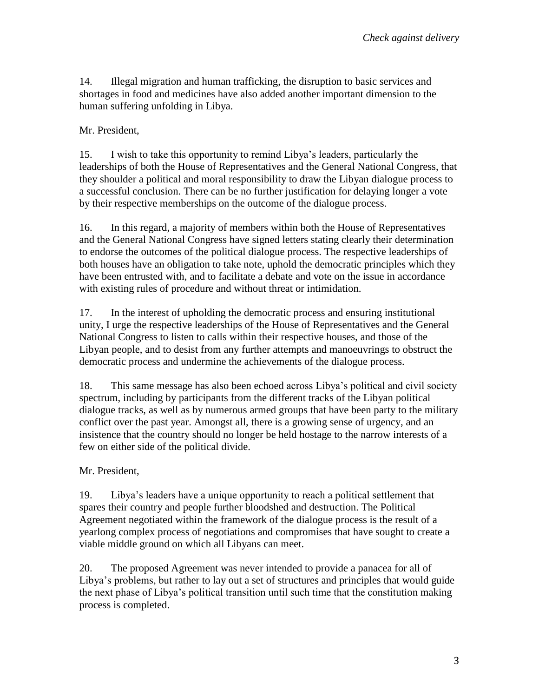14. Illegal migration and human trafficking, the disruption to basic services and shortages in food and medicines have also added another important dimension to the human suffering unfolding in Libya.

## Mr. President,

15. I wish to take this opportunity to remind Libya's leaders, particularly the leaderships of both the House of Representatives and the General National Congress, that they shoulder a political and moral responsibility to draw the Libyan dialogue process to a successful conclusion. There can be no further justification for delaying longer a vote by their respective memberships on the outcome of the dialogue process.

16. In this regard, a majority of members within both the House of Representatives and the General National Congress have signed letters stating clearly their determination to endorse the outcomes of the political dialogue process. The respective leaderships of both houses have an obligation to take note, uphold the democratic principles which they have been entrusted with, and to facilitate a debate and vote on the issue in accordance with existing rules of procedure and without threat or intimidation.

17. In the interest of upholding the democratic process and ensuring institutional unity, I urge the respective leaderships of the House of Representatives and the General National Congress to listen to calls within their respective houses, and those of the Libyan people, and to desist from any further attempts and manoeuvrings to obstruct the democratic process and undermine the achievements of the dialogue process.

18. This same message has also been echoed across Libya's political and civil society spectrum, including by participants from the different tracks of the Libyan political dialogue tracks, as well as by numerous armed groups that have been party to the military conflict over the past year. Amongst all, there is a growing sense of urgency, and an insistence that the country should no longer be held hostage to the narrow interests of a few on either side of the political divide.

## Mr. President,

19. Libya's leaders have a unique opportunity to reach a political settlement that spares their country and people further bloodshed and destruction. The Political Agreement negotiated within the framework of the dialogue process is the result of a yearlong complex process of negotiations and compromises that have sought to create a viable middle ground on which all Libyans can meet.

20. The proposed Agreement was never intended to provide a panacea for all of Libya's problems, but rather to lay out a set of structures and principles that would guide the next phase of Libya's political transition until such time that the constitution making process is completed.